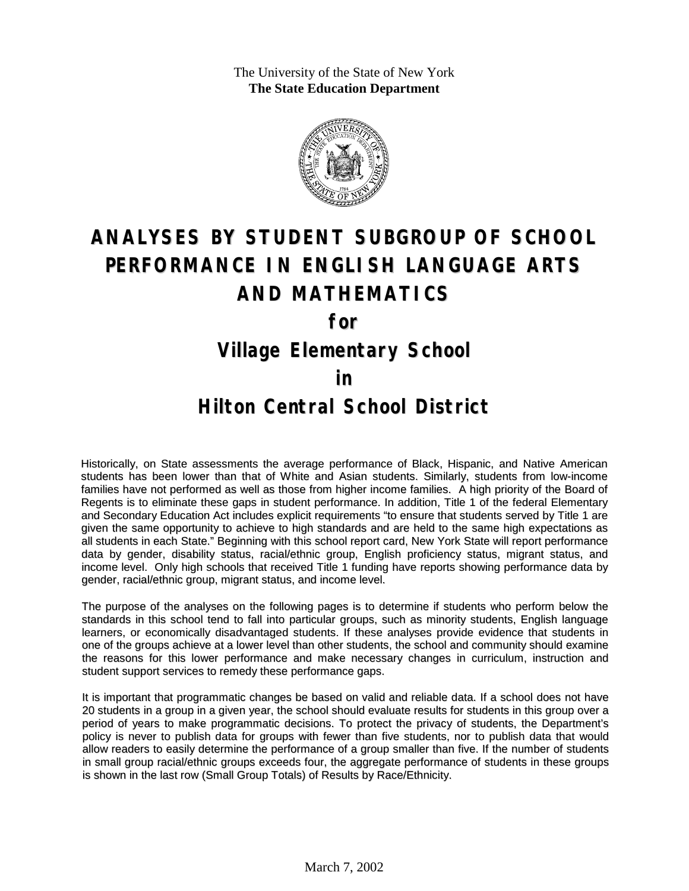The University of the State of New York **The State Education Department**



# **ANALYSES BY STUDENT SUBGROUP OF SCHOOL PERFORMANCE IN ENGLISH LANGUAGE ARTS AND MATHEMATICS for**

### **Village Elementary School**

#### **in**

### **Hilton Central School District**

Historically, on State assessments the average performance of Black, Hispanic, and Native American students has been lower than that of White and Asian students. Similarly, students from low-income families have not performed as well as those from higher income families. A high priority of the Board of Regents is to eliminate these gaps in student performance. In addition, Title 1 of the federal Elementary and Secondary Education Act includes explicit requirements "to ensure that students served by Title 1 are given the same opportunity to achieve to high standards and are held to the same high expectations as all students in each State." Beginning with this school report card, New York State will report performance data by gender, disability status, racial/ethnic group, English proficiency status, migrant status, and income level. Only high schools that received Title 1 funding have reports showing performance data by gender, racial/ethnic group, migrant status, and income level.

The purpose of the analyses on the following pages is to determine if students who perform below the standards in this school tend to fall into particular groups, such as minority students, English language learners, or economically disadvantaged students. If these analyses provide evidence that students in one of the groups achieve at a lower level than other students, the school and community should examine the reasons for this lower performance and make necessary changes in curriculum, instruction and student support services to remedy these performance gaps.

It is important that programmatic changes be based on valid and reliable data. If a school does not have 20 students in a group in a given year, the school should evaluate results for students in this group over a period of years to make programmatic decisions. To protect the privacy of students, the Department's policy is never to publish data for groups with fewer than five students, nor to publish data that would allow readers to easily determine the performance of a group smaller than five. If the number of students in small group racial/ethnic groups exceeds four, the aggregate performance of students in these groups is shown in the last row (Small Group Totals) of Results by Race/Ethnicity.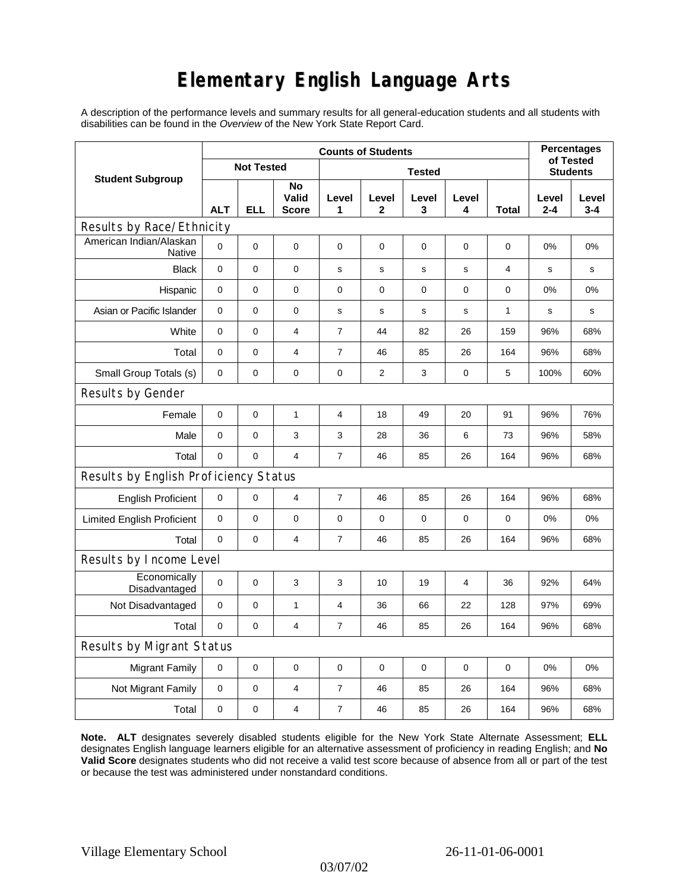## **Elementary English Language Arts**

A description of the performance levels and summary results for all general-education students and all students with disabilities can be found in the *Overview* of the New York State Report Card.

| <b>Student Subgroup</b>                  | <b>Counts of Students</b> |            |                             |                |                      |             |             |              | <b>Percentages</b>           |                  |
|------------------------------------------|---------------------------|------------|-----------------------------|----------------|----------------------|-------------|-------------|--------------|------------------------------|------------------|
|                                          | <b>Not Tested</b>         |            |                             | <b>Tested</b>  |                      |             |             |              | of Tested<br><b>Students</b> |                  |
|                                          | <b>ALT</b>                | <b>ELL</b> | No<br>Valid<br><b>Score</b> | Level<br>1     | Level<br>$\mathbf 2$ | Level<br>3  | Level<br>4  | <b>Total</b> | Level<br>$2 - 4$             | Level<br>$3 - 4$ |
| Results by Race/Ethnicity                |                           |            |                             |                |                      |             |             |              |                              |                  |
| American Indian/Alaskan<br><b>Native</b> | $\mathbf 0$               | 0          | 0                           | 0              | $\mathbf 0$          | $\mathbf 0$ | $\mathbf 0$ | $\mathbf 0$  | 0%                           | 0%               |
| <b>Black</b>                             | $\mathbf 0$               | 0          | $\pmb{0}$                   | s              | $\mathsf{s}$         | ${\bf s}$   | s           | 4            | $\mathbf s$                  | $\mathbf s$      |
| Hispanic                                 | 0                         | 0          | $\pmb{0}$                   | 0              | 0                    | $\mathbf 0$ | 0           | 0            | 0%                           | 0%               |
| Asian or Pacific Islander                | 0                         | 0          | 0                           | s              | s                    | s           | s           | 1            | s                            | s                |
| White                                    | $\mathbf 0$               | 0          | 4                           | $\overline{7}$ | 44                   | 82          | 26          | 159          | 96%                          | 68%              |
| Total                                    | 0                         | 0          | 4                           | 7              | 46                   | 85          | 26          | 164          | 96%                          | 68%              |
| Small Group Totals (s)                   | 0                         | 0          | 0                           | 0              | 2                    | 3           | 0           | 5            | 100%                         | 60%              |
| Results by Gender                        |                           |            |                             |                |                      |             |             |              |                              |                  |
| Female                                   | $\mathbf 0$               | 0          | $\mathbf{1}$                | 4              | 18                   | 49          | 20          | 91           | 96%                          | 76%              |
| Male                                     | 0                         | 0          | 3                           | 3              | 28                   | 36          | 6           | 73           | 96%                          | 58%              |
| Total                                    | $\mathbf 0$               | 0          | $\overline{4}$              | 7              | 46                   | 85          | 26          | 164          | 96%                          | 68%              |
| Results by English Proficiency Status    |                           |            |                             |                |                      |             |             |              |                              |                  |
| <b>English Proficient</b>                | $\mathbf 0$               | 0          | 4                           | 7              | 46                   | 85          | 26          | 164          | 96%                          | 68%              |
| <b>Limited English Proficient</b>        | $\mathbf 0$               | 0          | $\pmb{0}$                   | $\mathbf 0$    | 0                    | $\mathbf 0$ | 0           | 0            | 0%                           | 0%               |
| Total                                    | $\mathbf 0$               | 0          | 4                           | $\overline{7}$ | 46                   | 85          | 26          | 164          | 96%                          | 68%              |
| Results by Income Level                  |                           |            |                             |                |                      |             |             |              |                              |                  |
| Economically<br>Disadvantaged            | $\mathbf 0$               | 0          | 3                           | 3              | 10                   | 19          | 4           | 36           | 92%                          | 64%              |
| Not Disadvantaged                        | $\mathbf 0$               | 0          | $\mathbf{1}$                | 4              | 36                   | 66          | 22          | 128          | 97%                          | 69%              |
| Total                                    | $\mathbf 0$               | 0          | 4                           | 7              | 46                   | 85          | 26          | 164          | 96%                          | 68%              |
| Results by Migrant Status                |                           |            |                             |                |                      |             |             |              |                              |                  |
| <b>Migrant Family</b>                    | 0                         | 0          | 0                           | $\mathbf 0$    | $\mathbf 0$          | $\mathbf 0$ | $\mathbf 0$ | $\mathbf 0$  | 0%                           | 0%               |
| Not Migrant Family                       | $\mathbf 0$               | 0          | $\overline{\mathbf{4}}$     | $\overline{7}$ | 46                   | 85          | 26          | 164          | 96%                          | 68%              |
| Total                                    | $\mathbf 0$               | 0          | $\overline{4}$              | 7              | 46                   | 85          | 26          | 164          | 96%                          | 68%              |

**Note. ALT** designates severely disabled students eligible for the New York State Alternate Assessment; **ELL** designates English language learners eligible for an alternative assessment of proficiency in reading English; and **No Valid Score** designates students who did not receive a valid test score because of absence from all or part of the test or because the test was administered under nonstandard conditions.

03/07/02